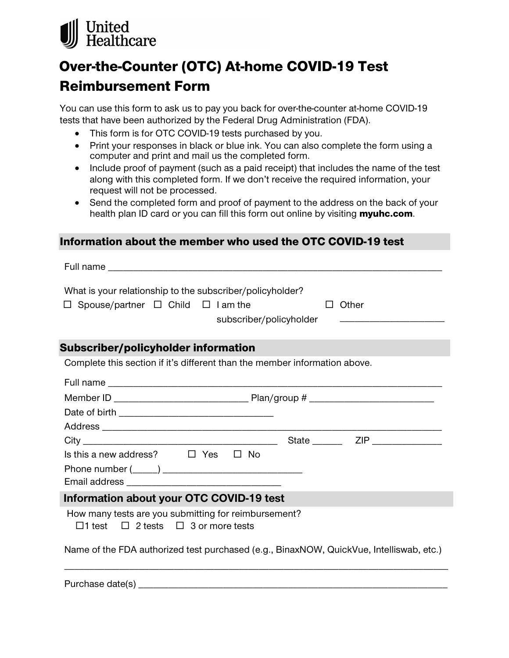

# Over-the-Counter (OTC) At-home COVID-19 Test

# Reimbursement Form

You can use this form to ask us to pay you back for over-the-counter at-home COVID-19 tests that have been authorized by the Federal Drug Administration (FDA).

- This form is for OTC COVID-19 tests purchased by you.
- Print your responses in black or blue ink. You can also complete the form using a computer and print and mail us the completed form.
- Include proof of payment (such as a paid receipt) that includes the name of the test along with this completed form. If we don't receive the required information, your request will not be processed.
- Send the completed form and proof of payment to the address on the back of your health plan ID card or you can fill this form out online by visiting [myuhc.com](https://www.myuhc.com).

## Information about the member who used the OTC COVID-19 test

Full name

| What is your relationship to the subscriber/policyholder? |  |
|-----------------------------------------------------------|--|
|-----------------------------------------------------------|--|

 $\Box$  Other

\_\_\_\_\_\_\_\_\_\_\_\_\_\_\_\_\_\_\_\_\_

subscriber/policyholder

# Subscriber/policyholder information

Complete this section if it's different than the member information above.

|                                                                                                             | State <u>ZIP</u> |  |
|-------------------------------------------------------------------------------------------------------------|------------------|--|
| Is this a new address? $\Box$ Yes $\Box$ No                                                                 |                  |  |
|                                                                                                             |                  |  |
|                                                                                                             |                  |  |
| Information about your OTC COVID-19 test                                                                    |                  |  |
| How many tests are you submitting for reimbursement?<br>$\Box$ 1 test $\Box$ 2 tests $\Box$ 3 or more tests |                  |  |
| Name of the FDA authorized test purchased (e.g., BinaxNOW, QuickVue, Intelliswab, etc.)                     |                  |  |

Purchase date(s) \_\_\_\_\_\_\_\_\_\_\_\_\_\_\_\_\_\_\_\_\_\_\_\_\_\_\_\_\_\_\_\_\_\_\_\_\_\_\_\_\_\_\_\_\_\_\_\_\_\_\_\_\_\_\_\_\_\_\_\_\_\_